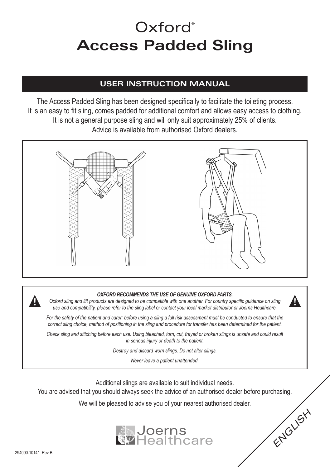# Oxford<sup>®</sup> **Access Padded Sling**

#### **USER INSTRUCTION MANUAL**

The Access Padded Sling has been designed specifically to facilitate the toileting process. It is an easy to fit sling, comes padded for additional comfort and allows easy access to clothing. It is not a general purpose sling and will only suit approximately 25% of clients. Advice is available from authorised Oxford dealers.



#### *OXFORD RECOMMENDS THE USE OF GENUINE OXFORD PARTS.*

*Oxford sling and lift products are designed to be compatible with one another. For country specific guidance on sling use and compatibility, please refer to the sling label or contact your local market distributor or Joerns Healthcare.*

*For the safety of the patient and carer; before using a sling a full risk assessment must be conducted to ensure that the correct sling choice, method of positioning in the sling and procedure for transfer has been determined for the patient.*

*Check sling and stitching before each use. Using bleached, torn, cut, frayed or broken slings is unsafe and could result in serious injury or death to the patient.*

*Destroy and discard worn slings. Do not alter slings.*

*Never leave a patient unattended.*

Additional slings are available to suit individual needs.

You are advised that you should always seek the advice of an authorised dealer before purchasing.

We will be pleased to advise you of your nearest authorised dealer.



*ENGLISH*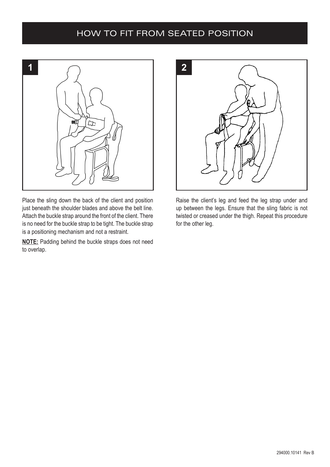#### HOW TO FIT FROM SEATED POSITION



Place the sling down the back of the client and position just beneath the shoulder blades and above the belt line. Attach the buckle strap around the front of the client. There is no need for the buckle strap to be tight. The buckle strap is a positioning mechanism and not a restraint.

**NOTE:** Padding behind the buckle straps does not need to overlap.



Raise the client's leg and feed the leg strap under and up between the legs. Ensure that the sling fabric is not twisted or creased under the thigh. Repeat this procedure for the other leg.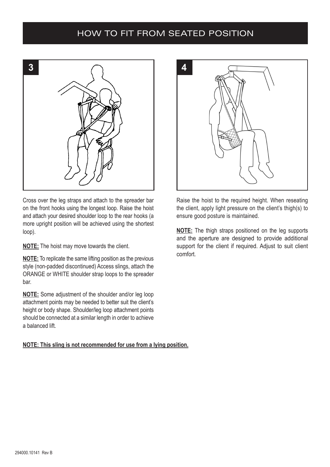#### HOW TO FIT FROM SEATED POSITION



Cross over the leg straps and attach to the spreader bar on the front hooks using the longest loop. Raise the hoist and attach your desired shoulder loop to the rear hooks (a more upright position will be achieved using the shortest loop).

**NOTE:** The hoist may move towards the client.

**NOTE:** To replicate the same lifting position as the previous style (non-padded discontinued) Access slings, attach the ORANGE or WHITE shoulder strap loops to the spreader bar.

**NOTE:** Some adjustment of the shoulder and/or leg loop attachment points may be needed to better suit the client's height or body shape. Shoulder/leg loop attachment points should be connected at a similar length in order to achieve a balanced lift.

**NOTE: This sling is not recommended for use from a lying position.**



Raise the hoist to the required height. When reseating the client, apply light pressure on the client's thigh(s) to ensure good posture is maintained.

**NOTE:** The thigh straps positioned on the leg supports and the aperture are designed to provide additional support for the client if required. Adjust to suit client comfort.